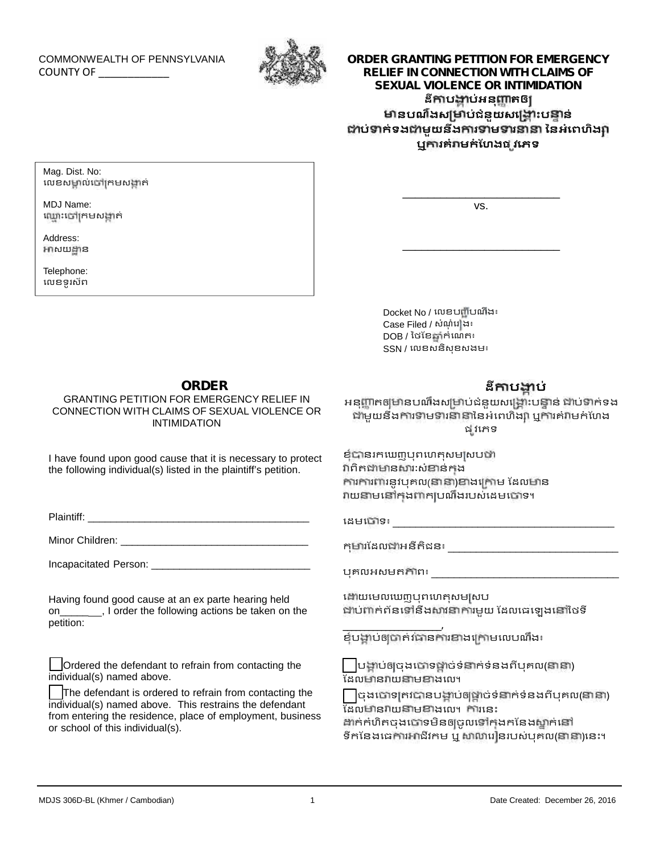### COMMONWEALTH OF PENNSYLVANIA COUNTY OF \_\_\_\_\_\_\_\_\_\_\_\_



# **ORDER GRANTING PETITION FOR EMERGENCY RELIEF IN CONNECTION WITH CLAIMS OF SEXUAL VIOLENCE OR INTIMIDATION ដី ប ប់អនុ តឲ នបណឹងស ប់ជំនួយសេ ះប ន់ ប់ ក់ទង មួយនឹង រ ម រ ៃនអំេពហិង** | CONNECTION WITH CLAIMS OF<br>| VIOLENCE OR INTIMIDATION<br>| និកាបង្គាប់អនុញ្ញាតឲ្យ<br>ណឹងសម្រាប់ជំនួយសង្គ្រោះបន្ទាន់<br>អមួយនឹងការទាមទារនានា នៃអំពេហិង្ស<br>ឬការគំរាមកំហែងផ្សរភេទ

Mag. Dist. No: លេខសមាល់ចៅក្រមសង្កាត់

MDJ Name: ឈ្មោះទៅក្រមសង្កាត់

Address: អាសយដ្ឋាន

Telephone: េលខទូរស័ព vs.

\_\_\_\_\_\_\_\_\_\_\_\_\_\_\_\_\_\_\_\_\_\_\_\_\_

\_\_\_\_\_\_\_\_\_\_\_\_\_\_\_\_\_\_\_\_\_\_\_\_\_

Docket No / េលខប ីបណឹង៖ Docket No / លេខបញ្ជីបណីង៖<br>Case Filed / សំណុំរៅង៖<br>DOB / ថៃខែឆ្នាំកំណេត៖ DOB / ៃថែខ ំកំេណត៖ SSN / េលខសនិសុខសងម៖

## **ORDER**

#### GRANTING PETITION FOR EMERGENCY RELIEF IN CONNECTION WITH CLAIMS OF SEXUAL VIOLENCE OR INTIMIDATION

I have found upon good cause that it is necessary to protect the following individual(s) listed in the plaintiff's petition.

Plaintiff:

Minor Children: **William** School Children:

Incapacitated Person: \_\_\_\_\_\_\_\_\_\_\_\_\_\_\_\_\_\_\_\_\_\_\_\_\_\_\_\_

Having found good cause at an ex parte hearing held on\_\_\_\_\_ , I order the following actions be taken on the petition:

Ordered the defendant to refrain from contacting the individual(s) named above.

The defendant is ordered to refrain from contacting the individual(s) named above. This restrains the defendant from entering the residence, place of employment, business<br>or sobool of this individual(a) or school of this individual(s).

# **ដី ប ប់**

អនុញ្ញាតឲ្យមានបណឹងសម្រាប់ជំនួយសង្គ្រោះបន្ទាន់ ជាប់ទាក់ទង ីនី**កាបង្គាប់**<br>នី**កាបង្គាប់**<br>ព្ហាកឲ្យមានបណឹងសម្រាប់ជំនួយសង្គ្រោះបន្ទាន់ ជាប់ទាក់ទង<br>មួយនឹងការទាមទារនានានៃអំពេហិង្សា ឬការគំរាមកំហែង<br>ដូវភេទ ផ វេភទ

ខ្ញុំបានរកឃេញបុពហេតុសមស្របឋា វាពិតជាមានសារៈសំខាន់កង ការការពារនូវបុគល(នានា)ខាងក្រោម ដែលមាន វាយនាមនៅក្នុងពាក្យបណឹងរបស់ដេមបោទ។

េដមេ ទ៖ \_\_\_\_\_\_\_\_\_\_\_\_\_\_\_\_\_\_\_\_\_\_\_\_\_\_\_\_\_\_\_\_\_\_\_\_\_\_\_

កុ រែដល អនីតិជន៖ \_\_\_\_\_\_\_\_\_\_\_\_\_\_\_\_\_\_\_\_\_\_\_\_\_\_\_\_\_\_

បុគលអសមត ព៖ \_\_\_\_\_\_\_\_\_\_\_\_\_\_\_\_\_\_\_\_\_\_\_\_\_\_\_\_\_\_\_\_\_

ណើយមេលឃេញបុពហេតុសមស្រប ជាប់ពាក់ព័នទៅនឹងសាវនាការមួយ ដែលធេឡេងនៅថៃទី

\_\_\_\_\_\_\_\_\_\_\_\_\_\_\_\_\_\_\_\_\_\_\_, ខំបង្គាប់ឲ្យបាត់រជានការខាងក្រោមលេបណឹង៖

បង្គាប់ឲ្យចុងបោទថ្នាច់ទំនាក់ទំនងពីបុគល(នានា) <del>...</del><br>ដែលមានវាយនាមខាងលេ។

 $\bigcap$ ចុងបោទ $\mathsf{gr}$ ជាចាមបច្ចុប្បច់ទំនាក់ទំនងពីបុគល(នានា) ដែលមានវាយនាមខាងលេ។ ការនេះ │ បង្គាប់ឲ្យចុងប៉ោទម្ពាច់ទំនាក់ទំនងពីបុគល(នានា)<br>ក្រុងលមានរាយនាមខាងលេ។<br>│ ចុងប៉ោទគ្រវបានបង្គាប់ឲ្យថ្ពាច់ទំនាក់ទំនងពីបុគល(នានា)<br>ដែលមានរាយនាមខាងលេ។ ការនេះ<br>ទឹកនែងធេការអាជីវកម ឬ សាលារៀនរបស់បុគល(នានា)នេះ។